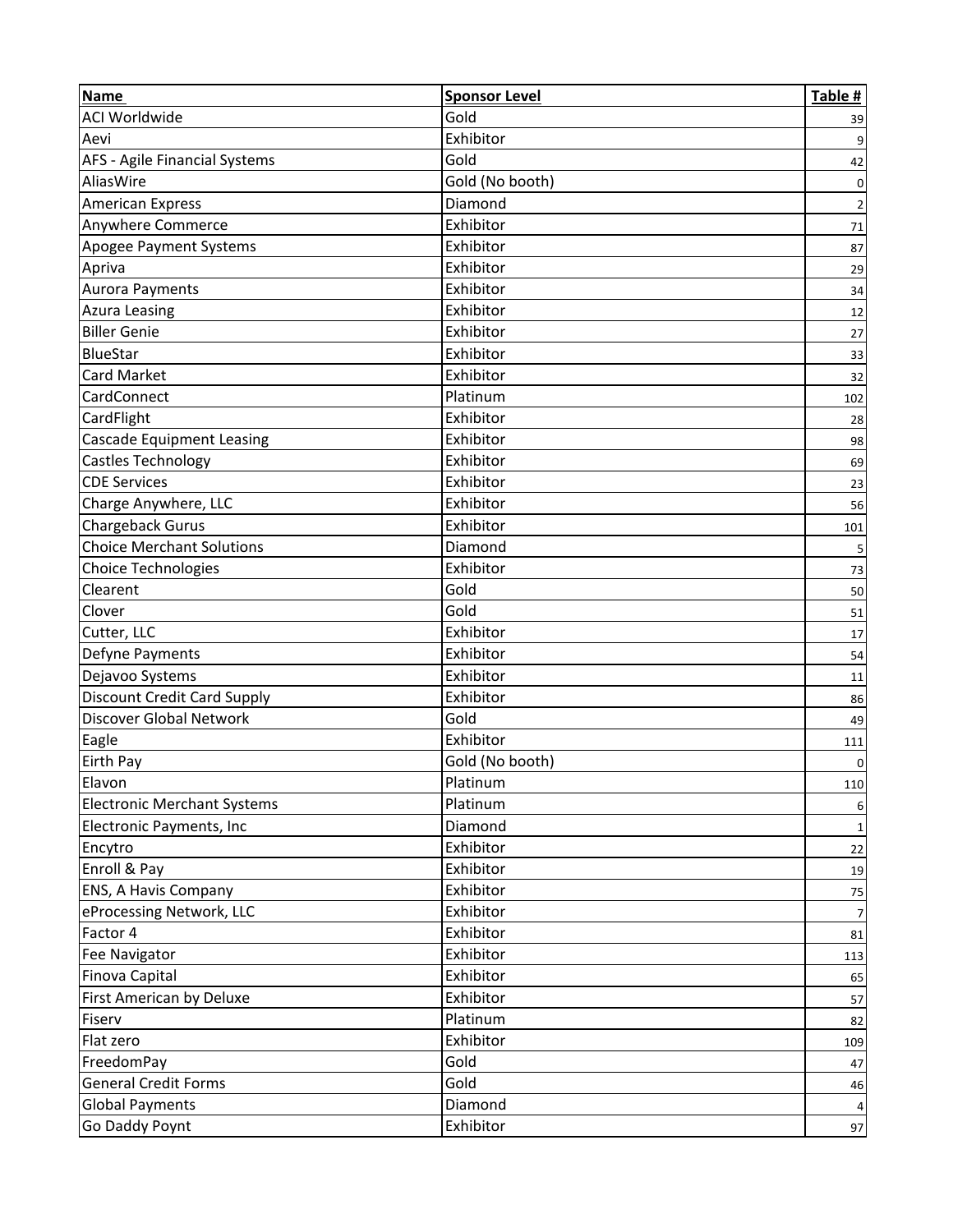| <b>Name</b>                        | <b>Sponsor Level</b> | Table # |
|------------------------------------|----------------------|---------|
| <b>ACI Worldwide</b>               | Gold                 | 39      |
| Aevi                               | Exhibitor            |         |
| AFS - Agile Financial Systems      | Gold                 | 42      |
| AliasWire                          | Gold (No booth)      | 0       |
| <b>American Express</b>            | Diamond              | 2       |
| Anywhere Commerce                  | Exhibitor            | 71      |
| <b>Apogee Payment Systems</b>      | Exhibitor            | 87      |
| Apriva                             | Exhibitor            | 29      |
| Aurora Payments                    | Exhibitor            | 34      |
| <b>Azura Leasing</b>               | Exhibitor            | 12      |
| <b>Biller Genie</b>                | Exhibitor            | 27      |
| BlueStar                           | Exhibitor            | 33      |
| Card Market                        | Exhibitor            | 32      |
| CardConnect                        | Platinum             | 102     |
| CardFlight                         | Exhibitor            | 28      |
| Cascade Equipment Leasing          | Exhibitor            | 98      |
| Castles Technology                 | Exhibitor            | 69      |
| <b>CDE Services</b>                | Exhibitor            | 23      |
| Charge Anywhere, LLC               | Exhibitor            | 56      |
| Chargeback Gurus                   | Exhibitor            | 101     |
| <b>Choice Merchant Solutions</b>   | Diamond              |         |
| <b>Choice Technologies</b>         | Exhibitor            | 73      |
| Clearent                           | Gold                 | 50      |
| Clover                             | Gold                 | 51      |
| Cutter, LLC                        | Exhibitor            | 17      |
| Defyne Payments                    | Exhibitor            | 54      |
| Dejavoo Systems                    | Exhibitor            | 11      |
| <b>Discount Credit Card Supply</b> | Exhibitor            | 86      |
| Discover Global Network            | Gold                 | 49      |
| Eagle                              | Exhibitor            | 111     |
| <b>Eirth Pay</b>                   | Gold (No booth)      | 0       |
| Elavon                             | Platinum             | 110     |
| <b>Electronic Merchant Systems</b> | Platinum             | 6       |
| Electronic Payments, Inc           | Diamond              | 1       |
| Encytro                            | Exhibitor            | 22      |
| Enroll & Pay                       | Exhibitor            | 19      |
| ENS, A Havis Company               | Exhibitor            | $75\,$  |
| eProcessing Network, LLC           | Exhibitor            |         |
| Factor 4                           | Exhibitor            | 81      |
| Fee Navigator                      | Exhibitor            | 113     |
| Finova Capital                     | Exhibitor            | 65      |
| First American by Deluxe           | Exhibitor            | 57      |
| Fiserv                             | Platinum             | 82      |
| Flat zero                          | Exhibitor            | 109     |
| FreedomPay                         | Gold                 | 47      |
| <b>General Credit Forms</b>        | Gold                 | 46      |
| <b>Global Payments</b>             | Diamond              |         |
| Go Daddy Poynt                     | Exhibitor            | 97      |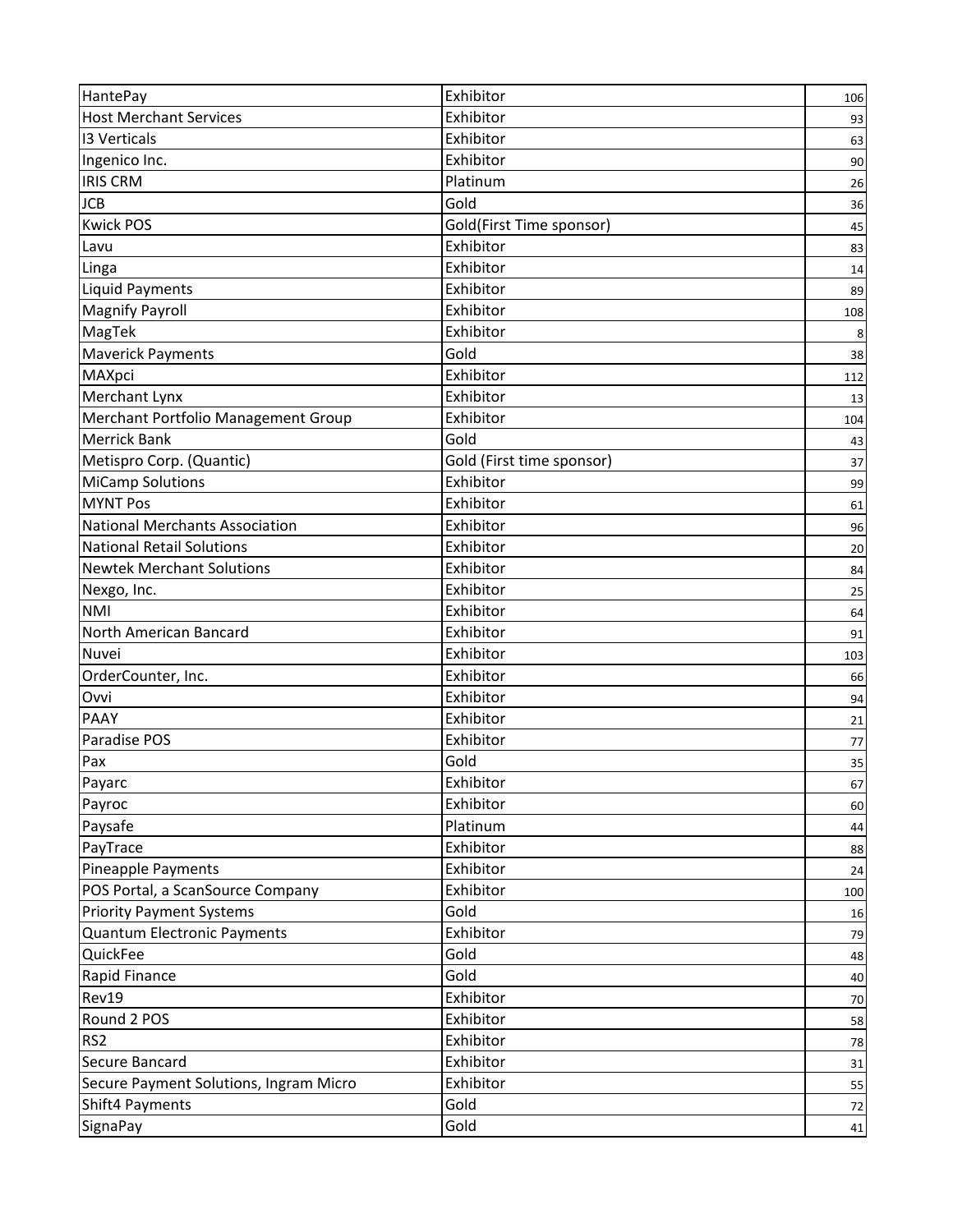| HantePay                               | Exhibitor                 | 106 |
|----------------------------------------|---------------------------|-----|
| <b>Host Merchant Services</b>          | Exhibitor                 | 93  |
| <b>13 Verticals</b>                    | Exhibitor                 | 63  |
| Ingenico Inc.                          | Exhibitor                 | 90  |
| <b>IRIS CRM</b>                        | Platinum                  | 26  |
| <b>JCB</b>                             | Gold                      | 36  |
| <b>Kwick POS</b>                       | Gold(First Time sponsor)  | 45  |
| Lavu                                   | Exhibitor                 | 83  |
| Linga                                  | Exhibitor                 | 14  |
| <b>Liquid Payments</b>                 | Exhibitor                 | 89  |
| <b>Magnify Payroll</b>                 | Exhibitor                 | 108 |
| MagTek                                 | Exhibitor                 |     |
| <b>Maverick Payments</b>               | Gold                      | 38  |
| MAXpci                                 | Exhibitor                 | 112 |
| Merchant Lynx                          | Exhibitor                 | 13  |
| Merchant Portfolio Management Group    | Exhibitor                 | 104 |
| <b>Merrick Bank</b>                    | Gold                      | 43  |
| Metispro Corp. (Quantic)               | Gold (First time sponsor) | 37  |
| <b>MiCamp Solutions</b>                | Exhibitor                 | 99  |
| <b>MYNT Pos</b>                        | Exhibitor                 | 61  |
| <b>National Merchants Association</b>  | Exhibitor                 | 96  |
| <b>National Retail Solutions</b>       | Exhibitor                 | 20  |
| <b>Newtek Merchant Solutions</b>       | Exhibitor                 | 84  |
| Nexgo, Inc.                            | Exhibitor                 | 25  |
| <b>NMI</b>                             | Exhibitor                 | 64  |
| North American Bancard                 | Exhibitor                 | 91  |
| Nuvei                                  | Exhibitor                 | 103 |
| OrderCounter, Inc.                     | Exhibitor                 | 66  |
| Ovvi                                   | Exhibitor                 | 94  |
| PAAY                                   | Exhibitor                 | 21  |
| Paradise POS                           | Exhibitor                 | 77  |
| Pax                                    | Gold                      | 35  |
| Payarc                                 | Exhibitor                 | 67  |
| Payroc                                 | Exhibitor                 | 60  |
| Paysafe                                | Platinum                  | 44  |
| PayTrace                               | Exhibitor                 | 88  |
| Pineapple Payments                     | Exhibitor                 | 24  |
| POS Portal, a ScanSource Company       | Exhibitor                 | 100 |
| <b>Priority Payment Systems</b>        | Gold                      | 16  |
| Quantum Electronic Payments            | Exhibitor                 | 79  |
| QuickFee                               | Gold                      | 48  |
| Rapid Finance                          | Gold                      | 40  |
| Rev19                                  | Exhibitor                 | 70  |
| Round 2 POS                            | Exhibitor                 | 58  |
| RS <sub>2</sub>                        | Exhibitor                 | 78  |
| Secure Bancard                         | Exhibitor                 | 31  |
| Secure Payment Solutions, Ingram Micro | Exhibitor                 | 55  |
| Shift4 Payments                        | Gold                      | 72  |
| SignaPay                               | Gold                      | 41  |